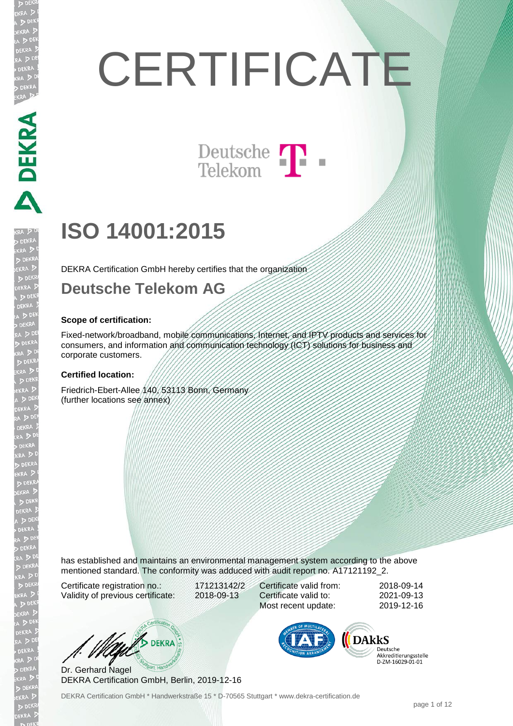# **CERTIFICATE**

Deutsche T

## **ISO 14001:2015**

DEKRA Certification GmbH hereby certifies that the organization

#### **Deutsche Telekom AG**

#### **Scope of certification:**

DEKRA DEKRA DEKRA

**DEKRA**  $D<sub>D</sub>$ 

> Fixed-network/broadband, mobile communications, Internet, and IPTV products and services for consumers, and information and communication technology (ICT) solutions for business and corporate customers.

#### **Certified location:**

Friedrich-Ebert-Allee 140, 53113 Bonn, Germany (further locations see annex)

has established and maintains an environmental management system according to the above mentioned standard. The conformity was adduced with audit report no. A17121192\_2.

Certificate registration no.: 171213142/2 Validity of previous certificate: 2018-09-13

Certificate valid from: 2018-09-14 Certificate valid to: 2021-09-13 Most recent update: 2019-12-16

W/S DEKRA

Dr. Gerhard Nagel DEKRA Certification GmbH, Berlin, 2019-12-16



Deutsche Akkreditierungsstelle D-ZM-16029-01-01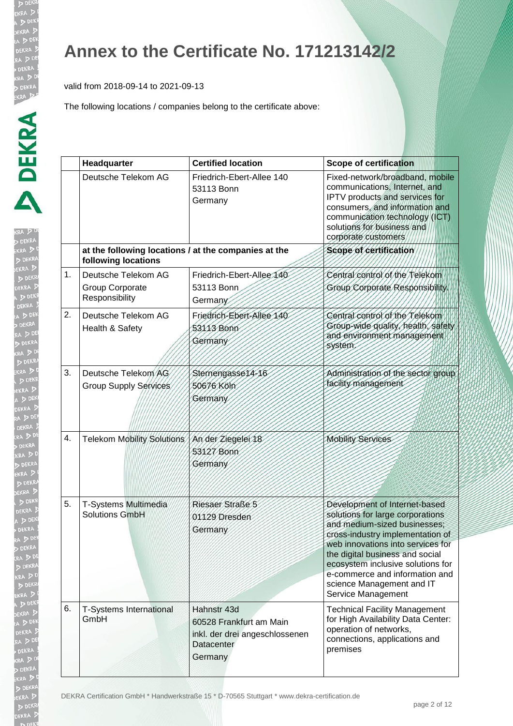EKRA

EKRA  $D<sub>DE</sub>$ 

#### **Annex to the Certificate No. 171213142/2**

valid from 2018-09-14 to 2021-09-13

|    | Headquarter                                                                 | <b>Certified location</b>                                                                         | <b>Scope of certification</b>                                                                                                                                                                                                                                                                                                           |
|----|-----------------------------------------------------------------------------|---------------------------------------------------------------------------------------------------|-----------------------------------------------------------------------------------------------------------------------------------------------------------------------------------------------------------------------------------------------------------------------------------------------------------------------------------------|
|    | Deutsche Telekom AG                                                         | Friedrich-Ebert-Allee 140<br>53113 Bonn<br>Germany                                                | Fixed-network/broadband, mobile<br>communications, Internet, and<br>IPTV products and services for<br>consumers, and information and<br>communication technology (ICT)<br>solutions for business and<br>corporate customers                                                                                                             |
|    | at the following locations / at the companies at the<br>following locations |                                                                                                   | Scope of certification                                                                                                                                                                                                                                                                                                                  |
| 1. | Deutsche Telekom AG<br>Group Corporate<br>Responsibility                    | Friedrich-Ebert-Allee 140<br>53113 Bonn<br>Germany                                                | Central control of the Telekom<br>Group Corporate Responsibility                                                                                                                                                                                                                                                                        |
| 2. | Deutsche Telekom AG<br>Health & Safety                                      | Friedrich-Ebert-Allee 140<br>53113 Bonn<br>Germany                                                | Central control of the Telekom<br>Group-wide quality, health, safety<br>and environment management<br>system.                                                                                                                                                                                                                           |
| 3. | Deutsche Telekom AG<br>Group Supply Services                                | Sternengasse14-16<br>50676 Köln<br>Germany                                                        | Administration of the sector group<br>facility management                                                                                                                                                                                                                                                                               |
| 4. | Telekom Mobility Solutions                                                  | An der Ziegelei 18<br>53127 Bonn<br>Germany                                                       | <b>Mobility Services</b>                                                                                                                                                                                                                                                                                                                |
| 5. | T-Systems Multimedia<br>Solutions GmbH                                      | Riesaer Straße 5<br>01129 Dresden<br>Germany                                                      | Development of Internet-based<br>solutions for large corporations<br>and medium-sized businesses;<br>cross-industry implementation of<br>web innovations into services for<br>the digital business and social<br>ecosystem inclusive solutions for<br>e-commerce and information and<br>science Management and IT<br>Service Management |
| 6. | <b>T-Systems International</b><br>GmbH                                      | Hahnstr 43d<br>60528 Frankfurt am Main<br>inkl. der drei angeschlossenen<br>Datacenter<br>Germany | <b>Technical Facility Management</b><br>for High Availability Data Center:<br>operation of networks,<br>connections, applications and<br>premises                                                                                                                                                                                       |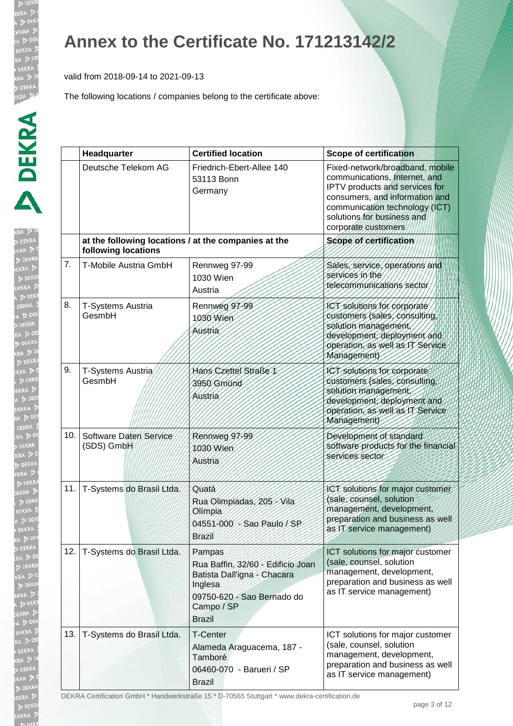**KRA DE DEKRA**  $\triangleright$ 

RA ! DEN EKRA  $DDE$ **JEKRA**  $\triangleright$ 

#### **Annex to the Certificate No. 171213142/2**

valid from 2018-09-14 to 2021-09-13

The following locations / companies belong to the certificate above:

|     | Headquarter                                                                 | <b>Certified location</b>                                                                                                                          | <b>Scope of certification</b>                                                                                                                                                                                               |
|-----|-----------------------------------------------------------------------------|----------------------------------------------------------------------------------------------------------------------------------------------------|-----------------------------------------------------------------------------------------------------------------------------------------------------------------------------------------------------------------------------|
|     | Deutsche Telekom AG                                                         | Friedrich-Ebert-Allee 140<br>53113 Bonn<br>Germany                                                                                                 | Fixed-network/broadband, mobile<br>communications, Internet, and<br>IPTV products and services for<br>consumers, and information and<br>communication technology (ICT)<br>solutions for business and<br>corporate customers |
|     | at the following locations / at the companies at the<br>following locations |                                                                                                                                                    | Scope of certification                                                                                                                                                                                                      |
| 7.  | T-Mobile Austria GmbH                                                       | Rennweg 97-99<br>1030 Wien<br>Austria                                                                                                              | Sales, service, operations and<br>services in the<br>telecommunications sector                                                                                                                                              |
| 8.  | T-Systems Austria<br>GesmbH                                                 | Rennweg 97-99<br>1030 Wien<br>Austria                                                                                                              | ICT solutions for corporate<br>customers (sales, consulting,<br>solution management,<br>development, deployment and<br>operation, as well as IT Service<br>Management)                                                      |
| 9.  | T-Systems Austria<br>GesmbH                                                 | Hans Czettel Straße 1<br>3950 Gmünd<br>Austria                                                                                                     | ICT solutions for corporate<br>customers (sales, consulting,<br>solution management,<br>development, deployment and<br>operation, as well as IT Service<br>Management)                                                      |
| 10. | Software Daten Service<br>(SDS) GmbH                                        | Rennweg 97-99<br>1030 Wien<br>Austria                                                                                                              | Development of standard<br>software products for the financial<br>services sector                                                                                                                                           |
| 11. | T-Systems do Brasil Ltda.                                                   | Quatá<br>Rua Olimpiadas, 205 - Vila<br>Olimpia<br>04551-000 - Sao Paulo / SP<br><b>Brazil</b>                                                      | ICT solutions for major customer<br>(sale, counsel, solution<br>management, development,<br>preparation and business as well<br>as IT service management)                                                                   |
| 12. | T-Systems do Brasil Ltda.                                                   | Pampas<br>Rua Baffin, 32/60 - Edificio Joan<br>Batista Dall'igna - Chacara<br>Inglesa<br>09750-620 - Sao Bernado do<br>Campo / SP<br><b>Brazil</b> | ICT solutions for major customer<br>(sale, counsel, solution<br>management, development,<br>preparation and business as well<br>as IT service management)                                                                   |
| 13. | T-Systems do Brasil Ltda.                                                   | <b>T-Center</b><br>Alameda Araguacema, 187 -<br>Tamboré<br>06460-070 - Barueri / SP<br><b>Brazil</b>                                               | ICT solutions for major customer<br>(sale, counsel, solution<br>management, development,<br>preparation and business as well<br>as IT service management)                                                                   |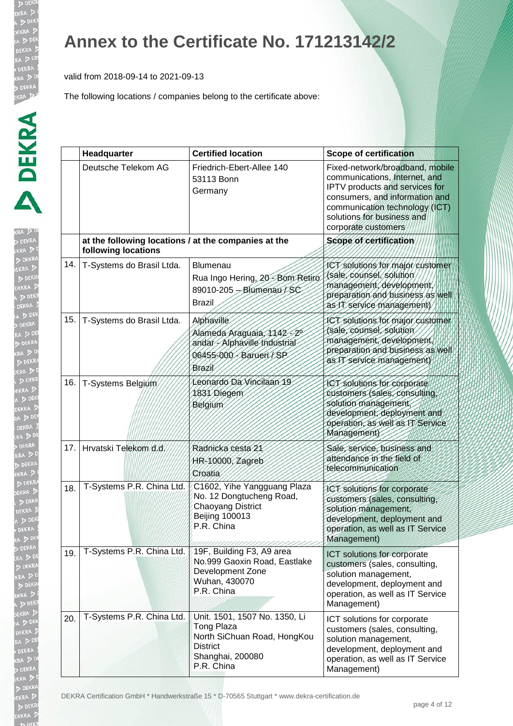b DE EKRA  $D<sub>DE</sub>$ EKR/

#### **Annex to the Certificate No. 171213142/2**

valid from 2018-09-14 to 2021-09-13

|     | Headquarter                                                                 | <b>Certified location</b>                                                                                                              | <b>Scope of certification</b>                                                                                                                                                                                               |
|-----|-----------------------------------------------------------------------------|----------------------------------------------------------------------------------------------------------------------------------------|-----------------------------------------------------------------------------------------------------------------------------------------------------------------------------------------------------------------------------|
|     | Deutsche Telekom AG                                                         | Friedrich-Ebert-Allee 140<br>53113 Bonn<br>Germany                                                                                     | Fixed-network/broadband, mobile<br>communications, Internet, and<br>IPTV products and services for<br>consumers, and information and<br>communication technology (ICT)<br>solutions for business and<br>corporate customers |
|     | at the following locations / at the companies at the<br>following locations |                                                                                                                                        | Scope of certification                                                                                                                                                                                                      |
| 14. | T-Systems do Brasil Ltda.                                                   | <b>Blumenau</b><br>Rua Ingo Hering, 20 - Bom Retiro<br>89010-205 - Blumenau / SC<br><b>Brazil</b>                                      | ICT solutions for major customer<br>(sale, counsel, solution<br>management, development,<br>preparation and business as well<br>as IT service management)                                                                   |
| 15. | T-Systems do Brasil Ltda.                                                   | Alphaville<br>Alameda Araguaia, 1142-20<br>andar - Alphaville Industrial<br>06455-000 - Barueri / SP<br>Brazil                         | ICT solutions for major customer<br>(sale, counsel, solution<br>management, development<br>preparation and business as well<br>as IT service management)                                                                    |
| 16. | T-Systems Belgium                                                           | Leonardo Da Vincilaan 19<br>1831 Diegem<br>Belgium                                                                                     | ICT solutions for corporate<br>customers (sales, consulting,<br>solution management<br>development, deployment and<br>operation, as well as IT Service<br>Management)                                                       |
| 17. | Hrvatski Telekom d.d.                                                       | Radnická cesta 21<br>HR-10000, Zagreb<br>Croatia                                                                                       | Sale, service, business and<br>attendance in the field of<br>telecommunication                                                                                                                                              |
| 18. | T-Systems P.R. China Ltd.                                                   | C1602, Yihe Yangguang Plaza<br>No. 12 Dongtucheng Road,<br><b>Chaoyang District</b><br><b>Beijing 100013</b><br>P.R. China             | ICT solutions for corporate<br>customers (sales, consulting,<br>solution management,<br>development, deployment and<br>operation, as well as IT Service<br>Management)                                                      |
| 19. | T-Systems P.R. China Ltd.                                                   | 19F, Building F3, A9 area<br>No.999 Gaoxin Road, Eastlake<br>Development Zone<br>Wuhan, 430070<br>P.R. China                           | ICT solutions for corporate<br>customers (sales, consulting,<br>solution management,<br>development, deployment and<br>operation, as well as IT Service<br>Management)                                                      |
| 20. | T-Systems P.R. China Ltd.                                                   | Unit. 1501, 1507 No. 1350, Li<br><b>Tong Plaza</b><br>North SiChuan Road, HongKou<br><b>District</b><br>Shanghai, 200080<br>P.R. China | ICT solutions for corporate<br>customers (sales, consulting,<br>solution management,<br>development, deployment and<br>operation, as well as IT Service<br>Management)                                                      |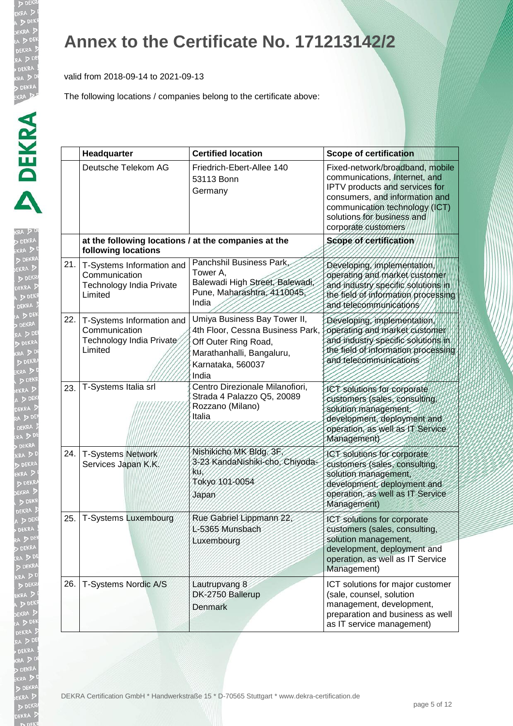b DE EKRA  $D<sub>DE</sub>$ **EKR** 

#### **Annex to the Certificate No. 171213142/2**

valid from 2018-09-14 to 2021-09-13

|     | Headquarter                                                                       | <b>Certified location</b>                                                                                                                           | <b>Scope of certification</b>                                                                                                                                                                                               |
|-----|-----------------------------------------------------------------------------------|-----------------------------------------------------------------------------------------------------------------------------------------------------|-----------------------------------------------------------------------------------------------------------------------------------------------------------------------------------------------------------------------------|
|     | Deutsche Telekom AG                                                               | Friedrich-Ebert-Allee 140<br>53113 Bonn<br>Germany                                                                                                  | Fixed-network/broadband, mobile<br>communications, Internet, and<br>IPTV products and services for<br>consumers, and information and<br>communication technology (ICT)<br>solutions for business and<br>corporate customers |
|     | at the following locations / at the companies at the<br>following locations       |                                                                                                                                                     | Scope of certification                                                                                                                                                                                                      |
| 21. | T-Systems Information and<br>Communication<br>Technology India Private<br>Limited | Panchshil Business Park,<br>Tower A,<br>Balewadi High Street, Balewadi,<br>Pune, Maharashtra, 4110045,<br>India                                     | Developing, implementation,<br>operating and market customer<br>and industry specific solutions in<br>the field of information processing<br>and telecommunications                                                         |
| 22. | T-Systems Information and<br>Communication<br>Technology India Private<br>Limited | Umiya Business Bay Tower II,<br>4th Floor, Cessna Business Park,<br>Off Outer Ring Road,<br>Marathanhalli, Bangaluru,<br>Karnataka, 560037<br>India | Developing, implementation<br>operating and market customer<br>and industry specific solutions in<br>the field of information processing<br>and telecommunications                                                          |
| 23. | T-Systems Italia srl                                                              | Centro Direzionale Milanofiori,<br>Strada 4 Palazzo Q5, 20089<br>Rozzano (Milano)<br>Italia                                                         | ICT solutions for corporate<br>customers (sales, consulting<br>solution management,<br>development, deployment and<br>operation, as well as IT Service<br>Management)                                                       |
| 24. | T-Systems Network<br>Services Japan K.K.                                          | Nishikicho MK Bldg. 3F<br>3-23 KandaNishiki-cho, Chiyoda-<br>KU.<br>Tokyo 101-0054<br>Japan                                                         | ICT solutions for corporate<br>customers (sales, consulting,<br>solution management,<br>development, deployment and<br>operation, as well as IT Service<br>Management)                                                      |
| 25. | <b>T-Systems Luxembourg</b>                                                       | Rue Gabriel Lippmann 22,<br>L-5365 Munsbach<br>Luxembourg                                                                                           | <b>ICT</b> solutions for corporate<br>customers (sales, consulting,<br>solution management,<br>development, deployment and<br>operation, as well as IT Service<br>Management)                                               |
| 26. | T-Systems Nordic A/S                                                              | Lautrupvang 8<br>DK-2750 Ballerup<br>Denmark                                                                                                        | ICT solutions for major customer<br>(sale, counsel, solution<br>management, development,<br>preparation and business as well<br>as IT service management)                                                                   |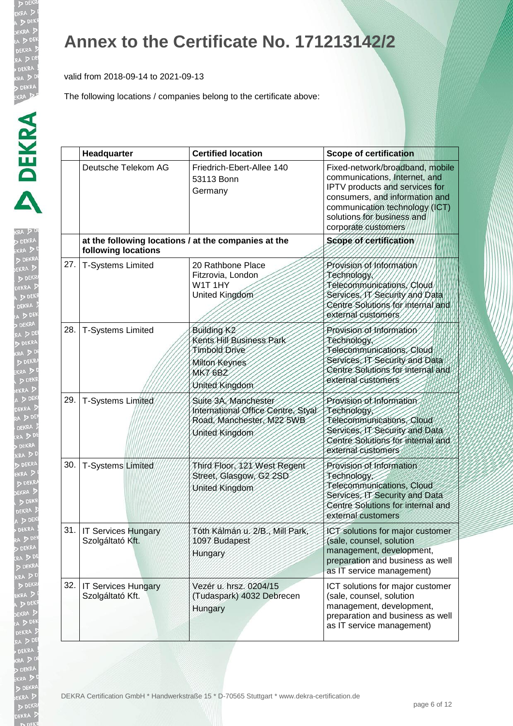b DE EKRA  $D<sub>DE</sub>$ 

## **Annex to the Certificate No. 171213142/2**

valid from 2018-09-14 to 2021-09-13

|     | Headquarter                                                                 | <b>Certified location</b>                                                                                                 | <b>Scope of certification</b>                                                                                                                                                                                               |
|-----|-----------------------------------------------------------------------------|---------------------------------------------------------------------------------------------------------------------------|-----------------------------------------------------------------------------------------------------------------------------------------------------------------------------------------------------------------------------|
|     | Deutsche Telekom AG                                                         | Friedrich-Ebert-Allee 140<br>53113 Bonn<br>Germany                                                                        | Fixed-network/broadband, mobile<br>communications, Internet, and<br>IPTV products and services for<br>consumers, and information and<br>communication technology (ICT)<br>solutions for business and<br>corporate customers |
|     | at the following locations / at the companies at the<br>following locations |                                                                                                                           | Scope of certification                                                                                                                                                                                                      |
| 27. | <b>T-Systems Limited</b>                                                    | 20 Rathbone Place<br>Fitzrovia, London<br>W1T1HY<br>United Kingdom                                                        | Provision of Information<br>Technology,<br>Telecommunications, Cloud<br>Services, IT Security and Data<br>Centre Solutions for internal and<br>external customers                                                           |
| 28. | <b>T-Systems Limited</b>                                                    | Building K <sub>2</sub><br>Kents Hill Business Park<br>Timbold Drive<br>Milton Keynes<br><b>MK7 6BZ</b><br>United Kingdom | Provision of Information<br>Technology<br>Telecommunications, Cloud<br>Services, IT Security and Data<br>Centre Solutions for internal and<br>external customers                                                            |
| 29. | T-Systems Limited                                                           | Suite 3A, Manchester<br>International Office Centre, Styal<br>Road, Manchester, M22 5WB<br>United Kingdom                 | Provision of Information<br>Technology<br>Telecommunications, Cloud<br>Services, IT Security and Data<br>Centre Solutions for internal and<br>external customers                                                            |
| 30. | <b>T-Systems Limited</b>                                                    | Third Floor, 121 West Regent<br>Street, Glasgow, G2 2SD<br>United Kingdom                                                 | Provision of Information<br>Technology<br>Telecommunications, Cloud<br>Services, IT Security and Data<br>Centre Solutions for internal and<br>external customers                                                            |
|     | 31.   IT Services Hungary<br>Szolgáltató Kft.                               | Tóth Kálmán u. 2/B., Mill Park,<br>1097 Budapest<br>Hungary                                                               | ICT solutions for major customer<br>(sale, counsel, solution<br>management, development,<br>preparation and business as well<br>as IT service management)                                                                   |
|     | 32.   IT Services Hungary<br>Szolgáltató Kft.                               | Vezér u. hrsz. 0204/15<br>(Tudaspark) 4032 Debrecen<br>Hungary                                                            | ICT solutions for major customer<br>(sale, counsel, solution<br>management, development,<br>preparation and business as well<br>as IT service management)                                                                   |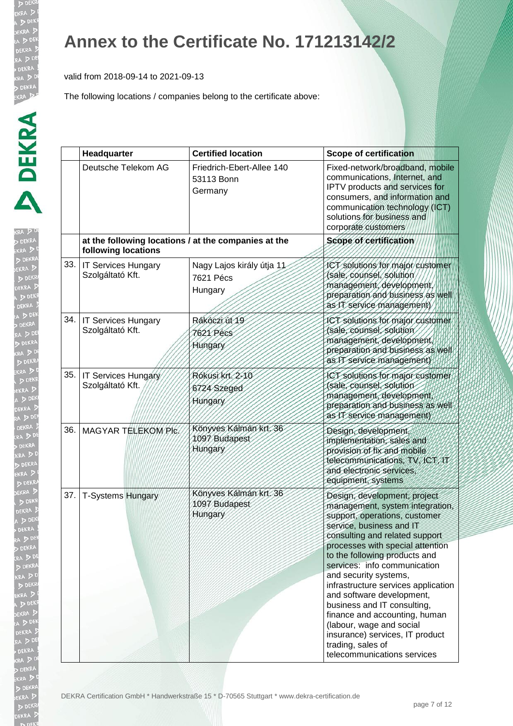**KR**  $\sqrt{2}$ 

#### **Annex to the Certificate No. 171213142/2**

valid from 2018-09-14 to 2021-09-13

|     | Headquarter                                    | <b>Certified location</b>                            | <b>Scope of certification</b>                                                                                                                                                                                                                                                                                                                                                                                                                                                                                                                       |
|-----|------------------------------------------------|------------------------------------------------------|-----------------------------------------------------------------------------------------------------------------------------------------------------------------------------------------------------------------------------------------------------------------------------------------------------------------------------------------------------------------------------------------------------------------------------------------------------------------------------------------------------------------------------------------------------|
|     | Deutsche Telekom AG                            | Friedrich-Ebert-Allee 140<br>53113 Bonn<br>Germany   | Fixed-network/broadband, mobile<br>communications, Internet, and<br>IPTV products and services for<br>consumers, and information and<br>communication technology (ICT)<br>solutions for business and<br>corporate customers                                                                                                                                                                                                                                                                                                                         |
|     | following locations                            | at the following locations / at the companies at the | Scope of certification                                                                                                                                                                                                                                                                                                                                                                                                                                                                                                                              |
|     | 33.   IT Services Hungary<br>Szolgáltató Kft.  | Nagy Lajos király útja 11<br>7621 Pécs<br>Hungary    | ICT solutions for major customer<br>(sale, counsel, solution<br>management, development,<br>preparation and business as well<br>as IT service management)                                                                                                                                                                                                                                                                                                                                                                                           |
| 34. | <b>IT Services Hungary</b><br>Szolgáltató Kft. | Rákóczi út 19<br>7621 Pécs<br>Hungary                | ICT solutions for major customer<br>(sale, counsel, solution<br>management, development<br>preparation and business as well<br>as IT service management                                                                                                                                                                                                                                                                                                                                                                                             |
|     | 35. IT Services Hungary<br>Szolgáltató Kft.    | Rókusi krt. 2-10<br>6724 Szeged<br>Hungary           | ICT solutions for major customer<br>(sale, counsel, solution<br>management, development,<br>preparation and business as well<br>as IT service management)                                                                                                                                                                                                                                                                                                                                                                                           |
| 36. | MAGYAR TELEKOM PIC.                            | Könyves Kálmán krt. 36<br>1097 Budapest<br>Hungary   | Design, development,<br>implementation, sales and<br>provision of fix and mobile<br>telecommunications, TV, ICT, IT<br>and electronic services,<br>equipment, systems                                                                                                                                                                                                                                                                                                                                                                               |
| 37. | <b>T-Systems Hungary</b>                       | Könyves Kálmán krt. 36<br>1097 Budapest<br>Hungary   | Design, development, project<br>management, system integration,<br>support, operations, customer<br>service, business and IT<br>consulting and related support<br>processes with special attention<br>to the following products and<br>services: info communication<br>and security systems,<br>infrastructure services application<br>and software development,<br>business and IT consulting,<br>finance and accounting, human<br>(labour, wage and social<br>insurance) services, IT product<br>trading, sales of<br>telecommunications services |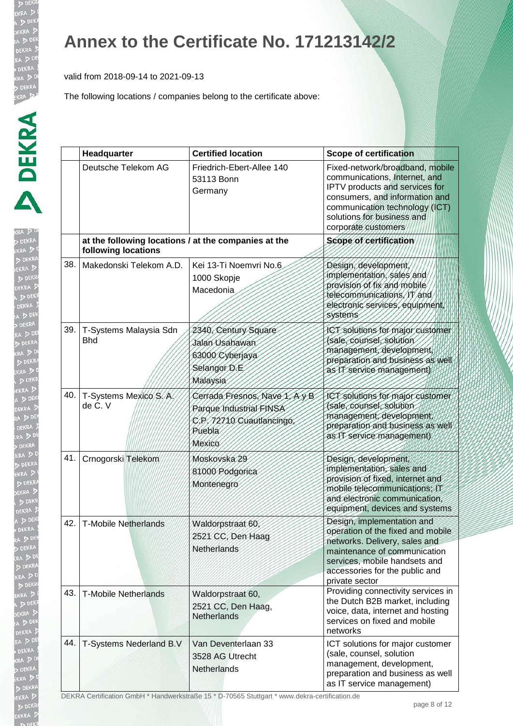RA ! DEN EKRA  $DDE$ **JEKRA**  $\triangleright$ 

## **Annex to the Certificate No. 171213142/2**

valid from 2018-09-14 to 2021-09-13

The following locations / companies belong to the certificate above:

|     | Headquarter                                                                 | <b>Certified location</b>                                                                                 | <b>Scope of certification</b>                                                                                                                                                                                               |
|-----|-----------------------------------------------------------------------------|-----------------------------------------------------------------------------------------------------------|-----------------------------------------------------------------------------------------------------------------------------------------------------------------------------------------------------------------------------|
|     | Deutsche Telekom AG                                                         | Friedrich-Ebert-Allee 140<br>53113 Bonn<br>Germany                                                        | Fixed-network/broadband, mobile<br>communications, Internet, and<br>IPTV products and services for<br>consumers, and information and<br>communication technology (ICT)<br>solutions for business and<br>corporate customers |
|     | at the following locations / at the companies at the<br>following locations |                                                                                                           | Scope of certification                                                                                                                                                                                                      |
| 38. | Makedonski Telekom A.D.                                                     | Kei 13-Ti Noemvri No.6<br>1000 Skopje<br>Macedonia                                                        | Design, development<br>implementation, sales and<br>provision of fix and mobile<br>telecommunications, IT and<br>electronic services, equipment<br>systems                                                                  |
| 39. | T-Systems Malaysia Sdn<br><b>Bhd</b>                                        | 2340, Century Square<br>Jalan Usahawan<br>63000 Cyberjaya<br>Selangor D.E<br>Malaysia                     | ICT solutions for major customer<br>(sale, counsel, solution<br>management, development,<br>preparation and business as well<br>as IT service management)                                                                   |
| 40. | T-Systems Mexico S.A.<br>de C. V                                            | Cerrada Fresnos, Nave Y, Ay B<br>Parque Industrial FINSA<br>C.P. 72710 Cuautlancingo,<br>Puebla<br>Mexico | ICT solutions for major customer<br>(sale, counsel, solution<br>management, development,<br>preparation and business as well<br>as IT service management)                                                                   |
| 41. | Crnogorski Telekom                                                          | Moskovska 29<br>81000 Podgorica<br>Montenegro                                                             | Design, development,<br>implementation, sales and<br>provision of fixed, internet and<br>mobile telecommunications; IT<br>and electronic communication.<br>equipment, devices and systems                                   |
| 42. | <b>T-Mobile Netherlands</b>                                                 | Waldorpstraat 60.<br>2521 CC, Den Haag<br>Netherlands                                                     | Design, implementation and<br>operation of the fixed and mobile<br>networks. Delivery, sales and<br>maintenance of communication<br>services, mobile handsets and<br>accessories for the public and<br>private sector       |
| 43. | <b>T-Mobile Netherlands</b>                                                 | Waldorpstraat 60,<br>2521 CC, Den Haag,<br><b>Netherlands</b>                                             | Providing connectivity services in<br>the Dutch B2B market, including<br>voice, data, internet and hosting<br>services on fixed and mobile<br>networks                                                                      |
| 44. | T-Systems Nederland B.V                                                     | Van Deventerlaan 33<br>3528 AG Utrecht<br>Netherlands                                                     | ICT solutions for major customer<br>(sale, counsel, solution<br>management, development,<br>preparation and business as well<br>as IT service management)                                                                   |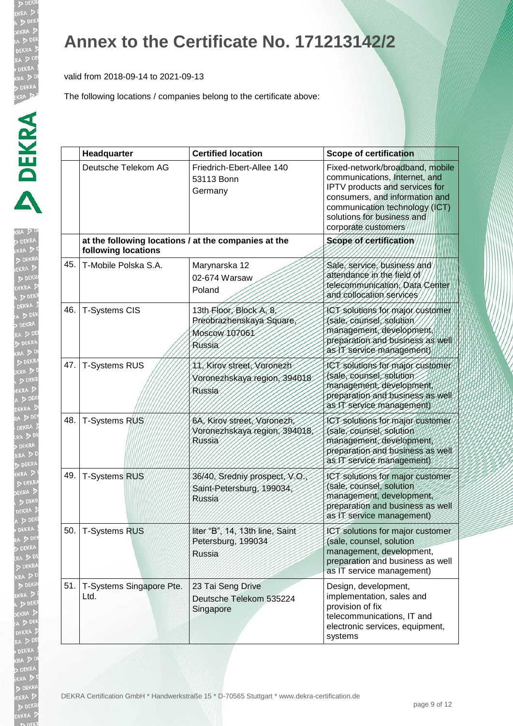#### **Annex to the Certificate No. 171213142/2**

valid from 2018-09-14 to 2021-09-13

|     | Headquarter                                                                 | <b>Certified location</b>                                                     | <b>Scope of certification</b>                                                                                                                                                                                               |
|-----|-----------------------------------------------------------------------------|-------------------------------------------------------------------------------|-----------------------------------------------------------------------------------------------------------------------------------------------------------------------------------------------------------------------------|
|     | Deutsche Telekom AG                                                         | Friedrich-Ebert-Allee 140<br>53113 Bonn<br>Germany                            | Fixed-network/broadband, mobile<br>communications, Internet, and<br>IPTV products and services for<br>consumers, and information and<br>communication technology (ICT)<br>solutions for business and<br>corporate customers |
|     | at the following locations / at the companies at the<br>following locations |                                                                               | Scope of certification                                                                                                                                                                                                      |
| 45. | T-Mobile Polska S.A.                                                        | Marynarska 12<br>02-674 Warsaw<br>Poland                                      | Sale, service, business and<br>attendance in the field of<br>telecommunication, Data Center<br>and collocation services                                                                                                     |
| 46. | <b>T-Systems CIS</b>                                                        | 13th Floor, Block A, 8<br>Preobrazhenskaya Square,<br>Moscow 107061<br>Russia | ICT solutions for major customer<br>(sale, counsel, solution<br>management, development<br>preparation and business as well<br>as IT service management)                                                                    |
| 47. | <b>T-Systems RUS</b>                                                        | 11. Kirov street, Voronezh<br>Voronezhskaya region, 394018<br>Russia          | JCT solutions for major customer<br>(sale, counsel, solution<br>management, development,<br>preparation and business as well<br>as IT service management)                                                                   |
| 48. | T-Systems RUS                                                               | 6A, Kirov street, Voronezh<br>Voronezhskaya region, 394018,<br>Russia         | ICT solutions for major customer<br>(sale, counsel, solution<br>management, development,<br>preparation and business as well<br>as IT service management)                                                                   |
| 49. | <b>T-Systems RUS</b>                                                        | 36/40, Sredniy prospect, V.O.<br>Saint-Petersburg, 199034,<br>Russia          | ICT solutions for major customer<br>(sale, counsel, solution<br>management, development,<br>preparation and business as well<br>as IT service management)                                                                   |
|     | 50.   T-Systems RUS                                                         | liter "B", 14, 13th line, Saint<br>Petersburg, 199034<br><b>Russia</b>        | ICT solutions for major customer<br>(sale, counsel, solution<br>management, development,<br>preparation and business as well<br>as IT service management)                                                                   |
| 51. | T-Systems Singapore Pte.<br>Ltd.                                            | 23 Tai Seng Drive<br>Deutsche Telekom 535224<br>Singapore                     | Design, development,<br>implementation, sales and<br>provision of fix<br>telecommunications, IT and<br>electronic services, equipment,<br>systems                                                                           |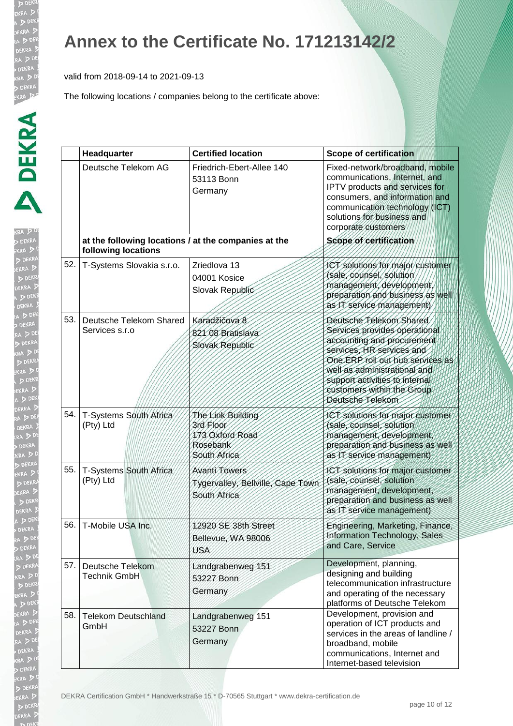b DE EKRA  $D<sub>DE</sub>$ EKR/

#### **Annex to the Certificate No. 171213142/2**

valid from 2018-09-14 to 2021-09-13

|     | Headquarter                                                                 | <b>Certified location</b>                                                     | <b>Scope of certification</b>                                                                                                                                                                                                                                               |
|-----|-----------------------------------------------------------------------------|-------------------------------------------------------------------------------|-----------------------------------------------------------------------------------------------------------------------------------------------------------------------------------------------------------------------------------------------------------------------------|
|     | Deutsche Telekom AG                                                         | Friedrich-Ebert-Allee 140<br>53113 Bonn<br>Germany                            | Fixed-network/broadband, mobile<br>communications, Internet, and<br>IPTV products and services for<br>consumers, and information and<br>communication technology (ICT)<br>solutions for business and<br>corporate customers                                                 |
|     | at the following locations / at the companies at the<br>following locations |                                                                               | Scope of certification                                                                                                                                                                                                                                                      |
| 52. | T-Systems Slovakia s.r.o.                                                   | Zriedlova 13<br>04001 Kosice<br>Slovak Republic                               | ICT solutions for major customer<br>(sale, counsel, solution<br>management, development,<br>preparation and business as well<br>as IT service management)                                                                                                                   |
| 53. | Deutsche Telekom Shared<br>Services s.r.o                                   | Karadžičova 8<br>821 08 Bratislava<br>Slovak Republic                         | Deutsche Telekom Shared<br>Services provides operational<br>accounting and procurement<br>services, HR services and<br>One ERP roll out hub services as<br>well as administrational and<br>support activities to internal<br>customers within the Group<br>Deutsche Telekom |
| 54. | T-Systems South Africa<br>(Pty) Ltd                                         | The Link Building<br>3rd Floor<br>173 Oxford Road<br>Rosebank<br>South Africa | JCT solutions for major customer<br>(sale, counsel, solution<br>management, development,<br>preparation and business as well<br>as IT service management)                                                                                                                   |
| 55. | T-Systems South Africa<br>(Pty) Ltd                                         | <b>Avanti Towers</b><br>Tygervalley, Bellville, Cape Town<br>South Africa     | ICT solutions for major customer<br>(sale, counsel, solution<br>management, development,<br>preparation and business as well<br>as IT service management)                                                                                                                   |
| 56. | T-Mobile USA Inc.                                                           | 12920 SE 38th Street<br>Bellevue, WA 98006<br>USA                             | Engineering, Marketing, Finance,<br>Information Technology, Sales<br>and Care, Service                                                                                                                                                                                      |
| 57. | Deutsche Telekom<br><b>Technik GmbH</b>                                     | Landgrabenweg 151<br>53227 Bonn<br>Germany                                    | Development, planning,<br>designing and building<br>telecommunication infrastructure<br>and operating of the necessary<br>platforms of Deutsche Telekom                                                                                                                     |
| 58. | <b>Telekom Deutschland</b><br>GmbH                                          | Landgrabenweg 151<br>53227 Bonn<br>Germany                                    | Development, provision and<br>operation of ICT products and<br>services in the areas of landline /<br>broadband, mobile<br>communications, Internet and<br>Internet-based television                                                                                        |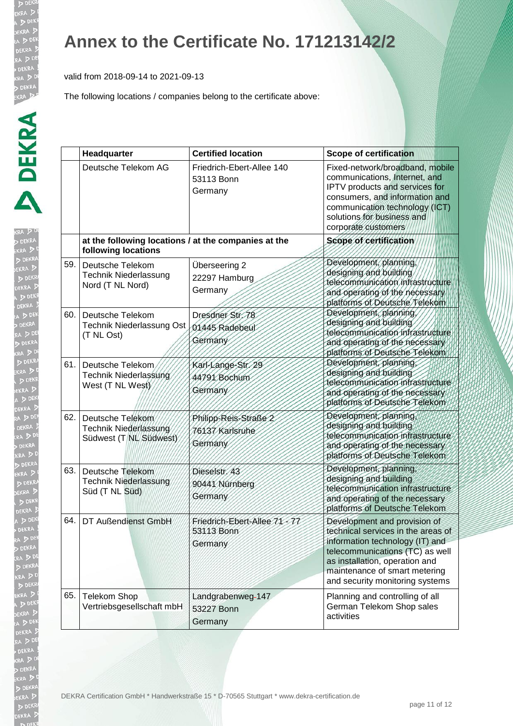b DE EKRA  $D<sub>DE</sub>$ EKR

#### **Annex to the Certificate No. 171213142/2**

valid from 2018-09-14 to 2021-09-13

|     | Headquarter                                                                 | <b>Certified location</b>                            | <b>Scope of certification</b>                                                                                                                                                                                                                  |
|-----|-----------------------------------------------------------------------------|------------------------------------------------------|------------------------------------------------------------------------------------------------------------------------------------------------------------------------------------------------------------------------------------------------|
|     | Deutsche Telekom AG                                                         | Friedrich-Ebert-Allee 140<br>53113 Bonn<br>Germany   | Fixed-network/broadband, mobile<br>communications, Internet, and<br>IPTV products and services for<br>consumers, and information and<br>communication technology (ICT)<br>solutions for business and<br>corporate customers                    |
|     | at the following locations / at the companies at the<br>following locations |                                                      | Scope of certification                                                                                                                                                                                                                         |
| 59. | Deutsche Telekom<br><b>Technik Niederlassung</b><br>Nord (T NL Nord)        | Überseering 2<br>22297 Hamburg<br>Germany            | Development, planning,<br>designing and building<br>telecommunication infrastructure<br>and operating of the necessary<br>platforms of Deutsche Telekom                                                                                        |
| 60. | Deutsche Telekom<br>Technik Niederlassung Ost<br>(T NL Ost)                 | Dresdner Str. 78<br>01445 Radebeut<br>Germany        | Development, planning<br>designing and building<br>telecommunication infrastructure<br>and operating of the necessary<br>platforms of Deutsche Telekom                                                                                         |
| 61. | Deutsche Telekom<br>Technik Niederlassung<br>West (T NL West)               | Karl-Lange-Str. 29<br>44791 Bochum<br>Germany        | Development, planning<br>designing and building<br>telecommunication infrastructure<br>and operating of the necessary<br>platforms of Deutsche Telekom                                                                                         |
| 62. | Deutsche Telekom<br>Technik Niederlassung<br>Südwest (T NL Südwest)         | Philipp-Reis-Straße 2<br>76137 Karlsruhe<br>Germany  | Development, planning<br>designing and building<br>telecommunication infrastructure<br>and operating of the necessary<br>platforms of Deutsche Telekom                                                                                         |
| 63. | Deutsche Telekom<br><b>Technik Niederlassung</b><br>Süd (T NL Süd)          | Dieselstr. 43<br>90441 Nürnberg<br>Germany           | Development, planning,<br>designing and building<br>telecommunication infrastructure<br>and operating of the necessary<br>platforms of Deutsche Telekom                                                                                        |
| 64. | DT Außendienst GmbH                                                         | Friedrich-Ebert-Allee 71-77<br>53113 Bonn<br>Germany | Development and provision of<br>technical services in the areas of<br>information technology (IT) and<br>telecommunications (TC) as well<br>as installation, operation and<br>maintenance of smart metering<br>and security monitoring systems |
| 65. | <b>Telekom Shop</b><br>Vertriebsgesellschaft mbH                            | Landgrabenweg-147<br>53227 Bonn<br>Germany           | Planning and controlling of all<br>German Telekom Shop sales<br>activities                                                                                                                                                                     |